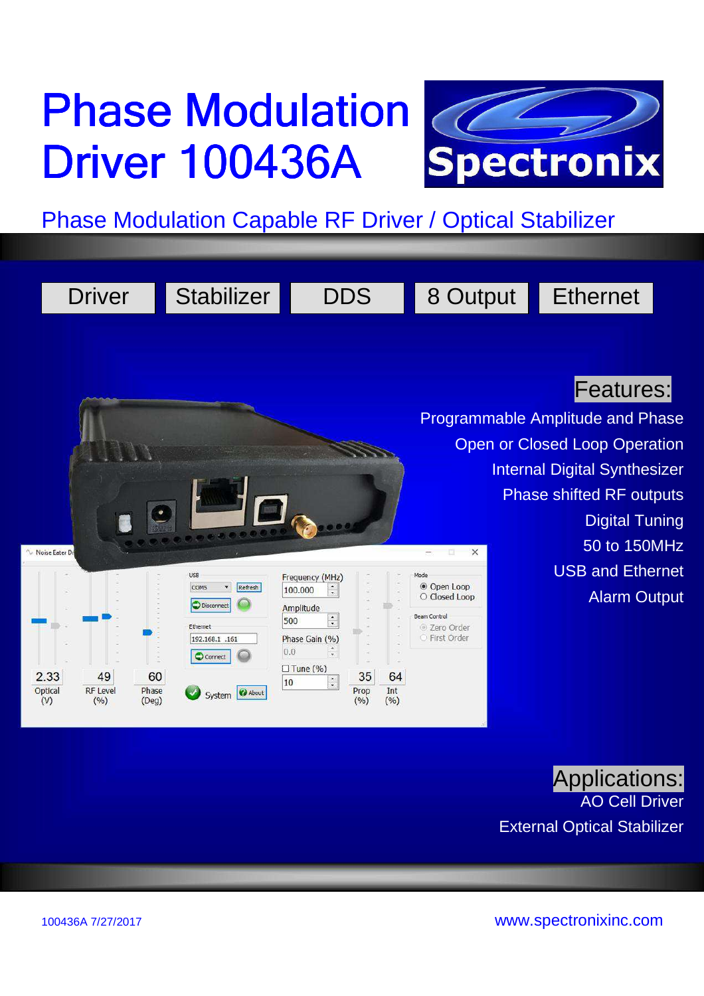# **Phase Modulation 72 Driver 100436A**



Phase Modulation Capable RF Driver / Optical Stabilizer

|                                          | <b>Driver</b>                  |                            | <b>Stabilizer</b>                                                                                                    |                                                                                                                                                            | <b>DDS</b>                            | 8 Output                                                                                                 | <b>Ethernet</b>                                                                                                                                                                                                        |  |
|------------------------------------------|--------------------------------|----------------------------|----------------------------------------------------------------------------------------------------------------------|------------------------------------------------------------------------------------------------------------------------------------------------------------|---------------------------------------|----------------------------------------------------------------------------------------------------------|------------------------------------------------------------------------------------------------------------------------------------------------------------------------------------------------------------------------|--|
|                                          |                                |                            |                                                                                                                      |                                                                                                                                                            |                                       |                                                                                                          | <b>Features:</b><br><b>Programmable Amplitude and Phase</b><br><b>Open or Closed Loop Operation</b><br><b>Internal Digital Synthesizer</b><br><b>Phase shifted RF outputs</b><br><b>Digital Tuning</b><br>50 to 150MHz |  |
| Noise Eater Dr<br>2.33<br>Optical<br>(V) | 49<br><b>RF Level</b><br>(9/6) | 60<br>Phase<br>$($ Deg $)$ | <b>USB</b><br>Refresh<br>COM5<br>۳<br><b>Disconnect</b><br>Ethernet<br>192.168.1 .161<br>C Connect<br>System & About | Frequency (MHz)<br>100.000<br>Amplitude<br>$\ddot{\bullet}$<br>500<br>Phase Gain (%)<br>0.0<br>$\square$ Tune (%)<br>$\overset{\bullet}{\mathbf{.}}$<br>10 | 35<br>64<br>Int<br>Prop<br>(%)<br>(%) | $\times$<br>Mode<br><b>◎ Open Loop</b><br>O Closed Loop<br>Beam Control<br>© Zero Order<br>○ First Order | <b>USB and Ethernet</b><br><b>Alarm Output</b>                                                                                                                                                                         |  |